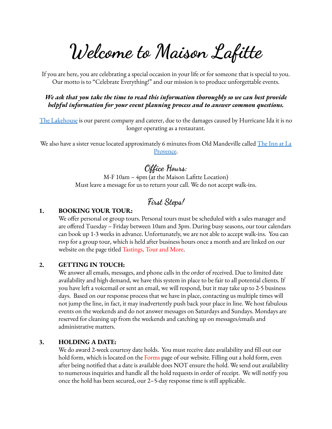**Welcome to Maison Lafitte**

If you are here, you are celebrating a special occasion in your life or for someone that is special to you. Our motto is to "Celebrate Everything!" and our mission is to produce unforgettable events.

*We ask that you take the time to read this information thoroughly so we can best provide helpful information for your event planning process and to answer common questions.*

The [Lakehouse](https://www.lakehousecuisine.com/catering-special-events) is our parent company and caterer, due to the damages caused by Hurricane Ida it is no longer operating as a restaurant.

We also have a sister venue located approximately 6 minutes from Old Mandeville called [The](http://www.theinnatlaprovence.com/) Inn at La [Provence](http://www.theinnatlaprovence.com/).

## **Office Hours:**

M-F 10am – 4pm (at the Maison Lafitte Location) Must leave a message for us to return your call. We do not accept walk-ins.

## **First Steps!**

## **1. BOOKING YOUR TOUR:**

We offer personal or group tours. Personal tours must be scheduled with a sales manager and are offered Tuesday – Friday between 10am and 3pm. During busy seasons, our tour calendars can book up 1-3 weeks in advance. Unfortunately, we are not able to accept walk-ins. You can rsvp for a group tour, which is held after business hours once a month and are linked on our website on the page titled Tastings, Tour and More.

### **2. GETTING IN TOUCH:**

We answer all emails, messages, and phone calls in the order of received. Due to limited date availability and high demand, we have this system in place to be fair to all potential clients. If you have left a voicemail or sent an email, we will respond, but it may take up to 2-5 business days. Based on our response process that we have in place, contacting us multiple times will not jump the line, in fact, it may inadvertently push back your place in line. We host fabulous events on the weekends and do not answer messages on Saturdays and Sundays. Mondays are reserved for cleaning up from the weekends and catching up on messages/emails and administrative matters.

### **3. HOLDING A DATE:**

We do award 2-week courtesy date holds. You must receive date availability and fill out our hold form, which is located on the Forms page of our website. Filling out a hold form, even after being notified that a date is available does NOT ensure the hold. We send out availability to numerous inquiries and handle all the hold requests in order of receipt. We will notify you once the hold has been secured, our 2–5-day response time is still applicable.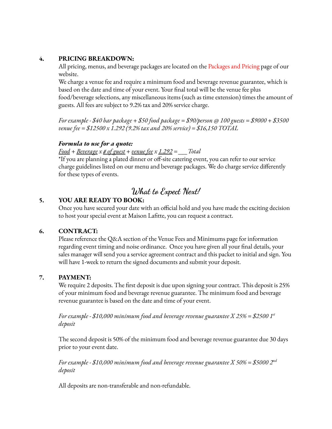## **4. PRICING BREAKDOWN:**

All pricing, menus, and beverage packages are located on the Packages and Pricing page of our website.

We charge a venue fee and require a minimum food and beverage revenue guarantee, which is based on the date and time of your event. Your final total will be the venue fee plus food/beverage selections, any miscellaneous items (such as time extension) times the amount of guests. All fees are subject to 9.2% tax and 20% service charge.

*For example - \$40 bar package + \$50 food package = \$90/person @ 100 guests = \$9000 + \$3500 venue fee = \$12500 x 1.292 (9.2% tax and 20% service) = \$16,150 TOTAL*

## *Formula to use for a quote:*

*Food + Beverage x # of guest + venue fee x 1.292 = \_\_\_Total*

\*If you are planning a plated dinner or off-site catering event, you can refer to our service charge guidelines listed on our menu and beverage packages. We do charge service differently for these types of events.

## **What to Expect Next!**

## **5. YOU ARE READY TO BOOK:**

Once you have secured your date with an official hold and you have made the exciting decision to host your special event at Maison Lafitte, you can request a contract.

### **6. CONTRACT:**

Please reference the Q&A section of the Venue Fees and Minimums page for information regarding event timing and noise ordinance. Once you have given all your final details, your sales manager will send you a service agreement contract and this packet to initial and sign. You will have 1-week to return the signed documents and submit your deposit.

## **7. PAYMENT:**

We require 2 deposits. The first deposit is due upon signing your contract. This deposit is 25% of your minimum food and beverage revenue guarantee. The minimum food and beverage revenue guarantee is based on the date and time of your event.

*For example - \$10,000 minimum food and beverage revenue guarantee X 25% = \$2500 1 st deposit*

The second deposit is 50% of the minimum food and beverage revenue guarantee due 30 days prior to your event date.

*For example - \$10,000 minimum food and beverage revenue guarantee X 50% = \$5000 2 nd deposit*

All deposits are non-transferable and non-refundable.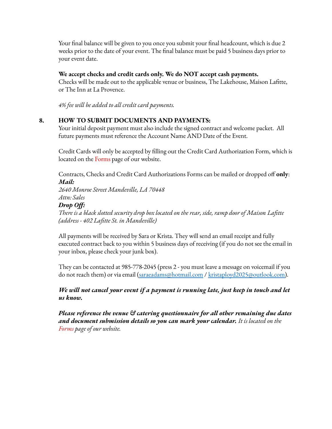Your final balance will be given to you once you submit your final headcount, which is due 2 weeks prior to the date of your event. The final balance must be paid 5 business days prior to your event date.

## **We accept checks and credit cards only. We do NOT accept cash payments.**

Checks will be made out to the applicable venue or business, The Lakehouse, Maison Lafitte, or The Inn at La Provence.

*4% fee will be added to all credit card payments.*

## **8. HOW TO SUBMIT DOCUMENTS AND PAYMENTS:**

Your initial deposit payment must also include the signed contract and welcome packet. All future payments must reference the Account Name AND Date of the Event.

Credit Cards will only be accepted by filling out the Credit Card Authorization Form, which is located on the Forms page of our website.

Contracts, Checks and Credit Card Authorizations Forms can be mailed or dropped off **only**: *Mail:*

*2640 Monroe Street Mandeville, LA 70448 Attn: Sales*

## *Drop Off:*

*There is a black slotted security drop box located on the rear, side, ramp door of Maison Lafitte (address - 402 Lafitte St. in Mandeville)*

All payments will be received by Sara or Krista. They will send an email receipt and fully executed contract back to you within 5 business days of receiving (if you do not see the email in your inbox, please check your junk box).

They can be contacted at 985-778-2045 (press 2 - you must leave a message on voicemail if you do not reach them) or via email [\(saraeadams@hotmail.com](mailto:saraeadams@outlook.com) / [kristaployd2025@outlook.com\)](mailto:kristaployd2025@outlook.com).

## *We will not cancel your event if a payment is running late, just keep in touch and let us know.*

*Please reference the venue & catering questionnaire for all other remaining due dates and document submission details so you can mark your calendar. It is located on the Forms page of our website.*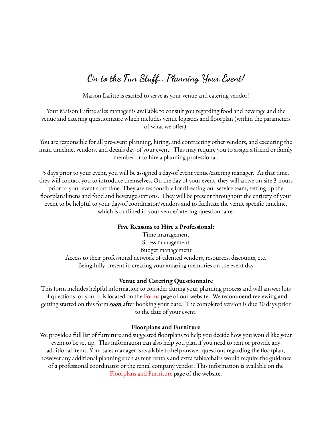# **On to the Fun Stuff… Planning Your Event!**

Maison Lafitte is excited to serve as your venue and catering vendor!

Your Maison Lafitte sales manager is available to consult you regarding food and beverage and the venue and catering questionnaire which includes venue logistics and floorplan (within the parameters of what we offer).

You are responsible for all pre-event planning, hiring, and contracting other vendors, and executing the main timeline, vendors, and details day-of your event. This may require you to assign a friend or family member or to hire a planning professional.

5 days prior to your event, you will be assigned a day-of event venue/catering manager. At that time, they will contact you to introduce themselves. On the day of your event, they will arrive on-site 3-hours prior to your event start time. They are responsible for directing our service team, setting up the floorplan/linens and food and beverage stations. They will be present throughout the entirety of your event to be helpful to your day-of coordinator/vendors and to facilitate the venue specific timeline, which is outlined in your venue/catering questionnaire.

#### **Five Reasons to Hire a Professional:**

Time management Stress management Budget management Access to their professional network of talented vendors, resources, discounts, etc. Being fully present in creating your amazing memories on the event day

#### **Venue and Catering Questionnaire**

This form includes helpful information to consider during your planning process and will answer lots of questions for you. It is located on the Forms page of our website. We recommend reviewing and getting started on this form *soon* after booking your date. The completed version is due 30 days prior to the date of your event.

#### **Floorplans and Furniture**

We provide a full list of furniture and suggested floorplans to help you decide how you would like your event to be set up. This information can also help you plan if you need to rent or provide any additional items. Your sales manager is available to help answer questions regarding the floorplan, however any additional planning such as tent rentals and extra table/chairs would require the guidance of a professional coordinator or the rental company vendor. This information is available on the Floorplans and Furniture page of the website.